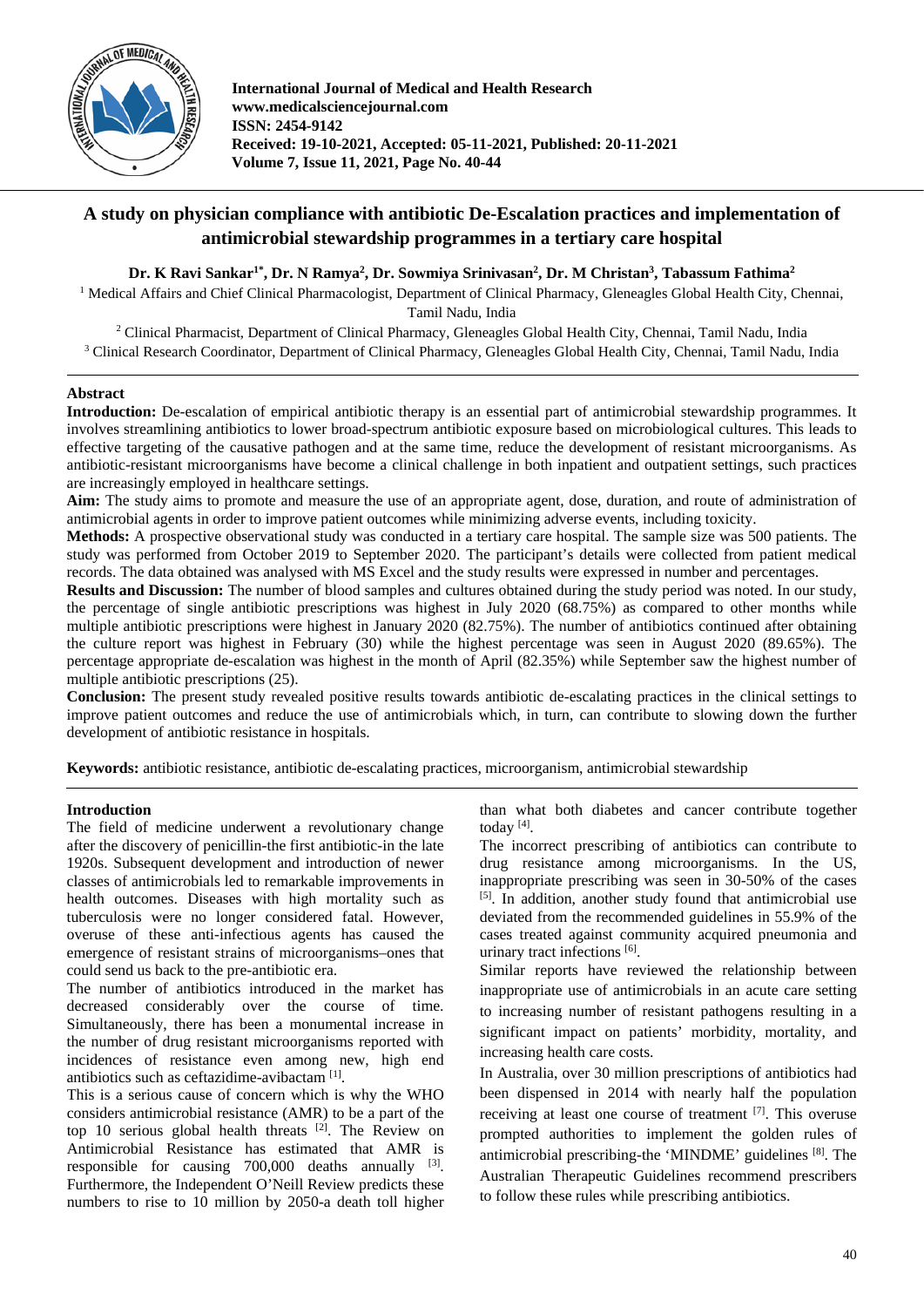

**International Journal of Medical and Health Research www.medicalsciencejournal.com ISSN: 2454-9142 Received: 19-10-2021, Accepted: 05-11-2021, Published: 20-11-2021 Volume 7, Issue 11, 2021, Page No. 40-44**

# **A study on physician compliance with antibiotic De-Escalation practices and implementation of antimicrobial stewardship programmes in a tertiary care hospital**

# **Dr. K Ravi Sankar1\* , Dr. N Ramya2 , Dr. Sowmiya Srinivasan2 , Dr. M Christan3 , Tabassum Fathima2**

<sup>1</sup> Medical Affairs and Chief Clinical Pharmacologist, Department of Clinical Pharmacy, Gleneagles Global Health City, Chennai, Tamil Nadu, India

<sup>2</sup> Clinical Pharmacist, Department of Clinical Pharmacy, Gleneagles Global Health City, Chennai, Tamil Nadu, India <sup>3</sup> Clinical Research Coordinator, Department of Clinical Pharmacy, Gleneagles Global Health City, Chennai, Tamil Nadu, India

# **Abstract**

**Introduction:** De-escalation of empirical antibiotic therapy is an essential part of antimicrobial stewardship programmes. It involves streamlining antibiotics to lower broad-spectrum antibiotic exposure based on microbiological cultures. This leads to effective targeting of the causative pathogen and at the same time, reduce the development of resistant microorganisms. As antibiotic-resistant microorganisms have become a clinical challenge in both inpatient and outpatient settings, such practices are increasingly employed in healthcare settings.

**Aim:** The study aims to promote and measure the use of an appropriate agent, dose, duration, and route of administration of antimicrobial agents in order to improve patient outcomes while minimizing adverse events, including toxicity.

**Methods:** A prospective observational study was conducted in a tertiary care hospital. The sample size was 500 patients. The study was performed from October 2019 to September 2020. The participant's details were collected from patient medical records. The data obtained was analysed with MS Excel and the study results were expressed in number and percentages.

**Results and Discussion:** The number of blood samples and cultures obtained during the study period was noted. In our study, the percentage of single antibiotic prescriptions was highest in July 2020 (68.75%) as compared to other months while multiple antibiotic prescriptions were highest in January 2020 (82.75%). The number of antibiotics continued after obtaining the culture report was highest in February (30) while the highest percentage was seen in August 2020 (89.65%). The percentage appropriate de-escalation was highest in the month of April (82.35%) while September saw the highest number of multiple antibiotic prescriptions (25).

**Conclusion:** The present study revealed positive results towards antibiotic de-escalating practices in the clinical settings to improve patient outcomes and reduce the use of antimicrobials which, in turn, can contribute to slowing down the further development of antibiotic resistance in hospitals.

**Keywords:** antibiotic resistance, antibiotic de-escalating practices, microorganism, antimicrobial stewardship

#### **Introduction**

The field of medicine underwent a revolutionary change after the discovery of penicillin-the first antibiotic-in the late 1920s. Subsequent development and introduction of newer classes of antimicrobials led to remarkable improvements in health outcomes. Diseases with high mortality such as tuberculosis were no longer considered fatal. However, overuse of these anti-infectious agents has caused the emergence of resistant strains of microorganisms–ones that could send us back to the pre-antibiotic era.

The number of antibiotics introduced in the market has decreased considerably over the course of time. Simultaneously, there has been a monumental increase in the number of drug resistant microorganisms reported with incidences of resistance even among new, high end antibiotics such as ceftazidime-avibactam [1].

This is a serious cause of concern which is why the WHO considers antimicrobial resistance (AMR) to be a part of the top 10 serious global health threats  $[2]$ . The Review on Antimicrobial Resistance has estimated that AMR is responsible for causing  $700,000$  deaths annually  $^{[3]}$ . Furthermore, the Independent O'Neill Review predicts these numbers to rise to 10 million by 2050-a death toll higher

than what both diabetes and cancer contribute together today [4].

The incorrect prescribing of antibiotics can contribute to drug resistance among microorganisms. In the US, inappropriate prescribing was seen in 30-50% of the cases [5]. In addition, another study found that antimicrobial use deviated from the recommended guidelines in 55.9% of the cases treated against community acquired pneumonia and urinary tract infections [6].

Similar reports have reviewed the relationship between inappropriate use of antimicrobials in an acute care setting to increasing number of resistant pathogens resulting in a significant impact on patients' morbidity, mortality, and increasing health care costs.

In Australia, over 30 million prescriptions of antibiotics had been dispensed in 2014 with nearly half the population receiving at least one course of treatment  $[7]$ . This overuse prompted authorities to implement the golden rules of antimicrobial prescribing-the 'MINDME' guidelines [8]. The Australian Therapeutic Guidelines recommend prescribers to follow these rules while prescribing antibiotics.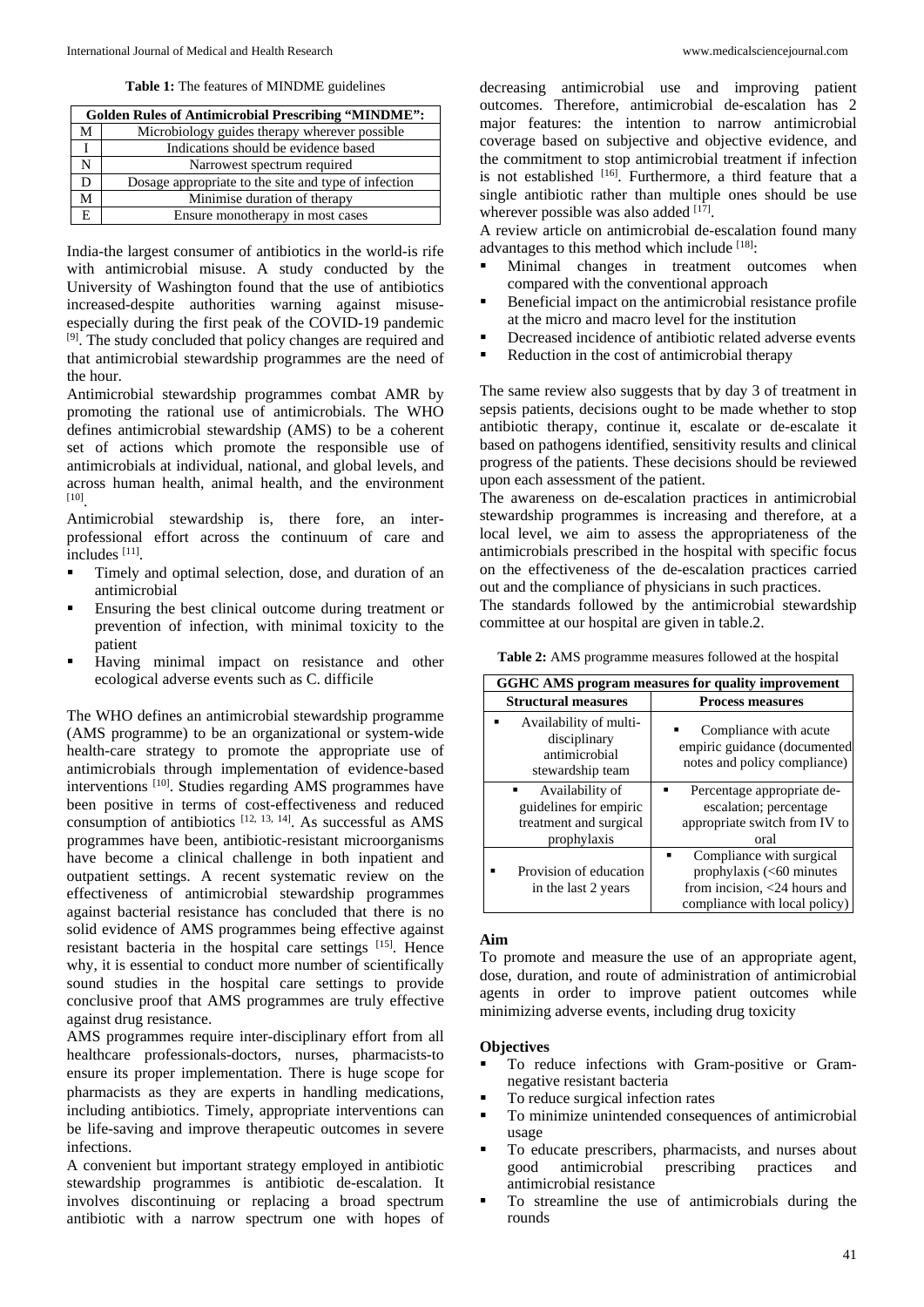**Table 1:** The features of MINDME guidelines

|    | <b>Golden Rules of Antimicrobial Prescribing "MINDME":</b> |  |  |  |  |  |  |  |  |
|----|------------------------------------------------------------|--|--|--|--|--|--|--|--|
| M  | Microbiology guides therapy wherever possible              |  |  |  |  |  |  |  |  |
|    | Indications should be evidence based                       |  |  |  |  |  |  |  |  |
| N  | Narrowest spectrum required                                |  |  |  |  |  |  |  |  |
| D  | Dosage appropriate to the site and type of infection       |  |  |  |  |  |  |  |  |
| M  | Minimise duration of therapy                               |  |  |  |  |  |  |  |  |
| E. | Ensure monotherapy in most cases                           |  |  |  |  |  |  |  |  |

India-the largest consumer of antibiotics in the world-is rife with antimicrobial misuse. A study conducted by the University of Washington found that the use of antibiotics increased-despite authorities warning against misuseespecially during the first peak of the COVID-19 pandemic [9]. The study concluded that policy changes are required and that antimicrobial stewardship programmes are the need of the hour.

Antimicrobial stewardship programmes combat AMR by promoting the rational use of antimicrobials. The WHO defines antimicrobial stewardship (AMS) to be a coherent set of actions which promote the responsible use of antimicrobials at individual, national, and global levels, and across human health, animal health, and the environment [10].

Antimicrobial stewardship is, there fore, an interprofessional effort across the continuum of care and includes [11].

- Timely and optimal selection, dose, and duration of an antimicrobial
- **Ensuring the best clinical outcome during treatment or** prevention of infection, with minimal toxicity to the patient
- Having minimal impact on resistance and other ecological adverse events such as C. difficile

The WHO defines an antimicrobial stewardship programme (AMS programme) to be an organizational or system-wide health-care strategy to promote the appropriate use of antimicrobials through implementation of evidence-based interventions [10]. Studies regarding AMS programmes have been positive in terms of cost-effectiveness and reduced consumption of antibiotics  $[12, 13, 14]$ . As successful as AMS programmes have been, antibiotic-resistant microorganisms have become a clinical challenge in both inpatient and outpatient settings. A recent systematic review on the effectiveness of antimicrobial stewardship programmes against bacterial resistance has concluded that there is no solid evidence of AMS programmes being effective against resistant bacteria in the hospital care settings [15]. Hence why, it is essential to conduct more number of scientifically sound studies in the hospital care settings to provide conclusive proof that AMS programmes are truly effective against drug resistance.

AMS programmes require inter-disciplinary effort from all healthcare professionals-doctors, nurses, pharmacists-to ensure its proper implementation. There is huge scope for pharmacists as they are experts in handling medications, including antibiotics. Timely, appropriate interventions can be life-saving and improve therapeutic outcomes in severe infections.

A convenient but important strategy employed in antibiotic stewardship programmes is antibiotic de-escalation. It involves discontinuing or replacing a broad spectrum antibiotic with a narrow spectrum one with hopes of decreasing antimicrobial use and improving patient outcomes. Therefore, antimicrobial de-escalation has 2 major features: the intention to narrow antimicrobial coverage based on subjective and objective evidence, and the commitment to stop antimicrobial treatment if infection is not established  $[16]$ . Furthermore, a third feature that a single antibiotic rather than multiple ones should be use wherever possible was also added  $[17]$ .

A review article on antimicrobial de-escalation found many advantages to this method which include [18]:

- Minimal changes in treatment outcomes when compared with the conventional approach
- Beneficial impact on the antimicrobial resistance profile at the micro and macro level for the institution
- Decreased incidence of antibiotic related adverse events
- Reduction in the cost of antimicrobial therapy

The same review also suggests that by day 3 of treatment in sepsis patients, decisions ought to be made whether to stop antibiotic therapy, continue it, escalate or de-escalate it based on pathogens identified, sensitivity results and clinical progress of the patients. These decisions should be reviewed upon each assessment of the patient.

The awareness on de-escalation practices in antimicrobial stewardship programmes is increasing and therefore, at a local level, we aim to assess the appropriateness of the antimicrobials prescribed in the hospital with specific focus on the effectiveness of the de-escalation practices carried out and the compliance of physicians in such practices.

The standards followed by the antimicrobial stewardship committee at our hospital are given in table.2.

**Table 2:** AMS programme measures followed at the hospital

| GGHC AMS program measures for quality improvement                           |                                                                                       |  |  |  |  |  |  |  |
|-----------------------------------------------------------------------------|---------------------------------------------------------------------------------------|--|--|--|--|--|--|--|
| <b>Structural measures</b>                                                  | <b>Process measures</b>                                                               |  |  |  |  |  |  |  |
| Availability of multi-<br>disciplinary<br>antimicrobial<br>stewardship team | Compliance with acute<br>empiric guidance (documented<br>notes and policy compliance) |  |  |  |  |  |  |  |
| Availability of                                                             | Percentage appropriate de-                                                            |  |  |  |  |  |  |  |
| guidelines for empiric                                                      | escalation; percentage                                                                |  |  |  |  |  |  |  |
| treatment and surgical                                                      | appropriate switch from IV to                                                         |  |  |  |  |  |  |  |
| prophylaxis                                                                 | oral                                                                                  |  |  |  |  |  |  |  |
|                                                                             | Compliance with surgical                                                              |  |  |  |  |  |  |  |
| Provision of education                                                      | prophylaxis (<60 minutes                                                              |  |  |  |  |  |  |  |
| in the last 2 years                                                         | from incision, <24 hours and                                                          |  |  |  |  |  |  |  |
|                                                                             | compliance with local policy)                                                         |  |  |  |  |  |  |  |

#### **Aim**

To promote and measure the use of an appropriate agent, dose, duration, and route of administration of antimicrobial agents in order to improve patient outcomes while minimizing adverse events, including drug toxicity

## **Objectives**

- To reduce infections with Gram-positive or Gramnegative resistant bacteria
- To reduce surgical infection rates
- To minimize unintended consequences of antimicrobial usage
- To educate prescribers, pharmacists, and nurses about good antimicrobial prescribing practices and antimicrobial resistance
- To streamline the use of antimicrobials during the rounds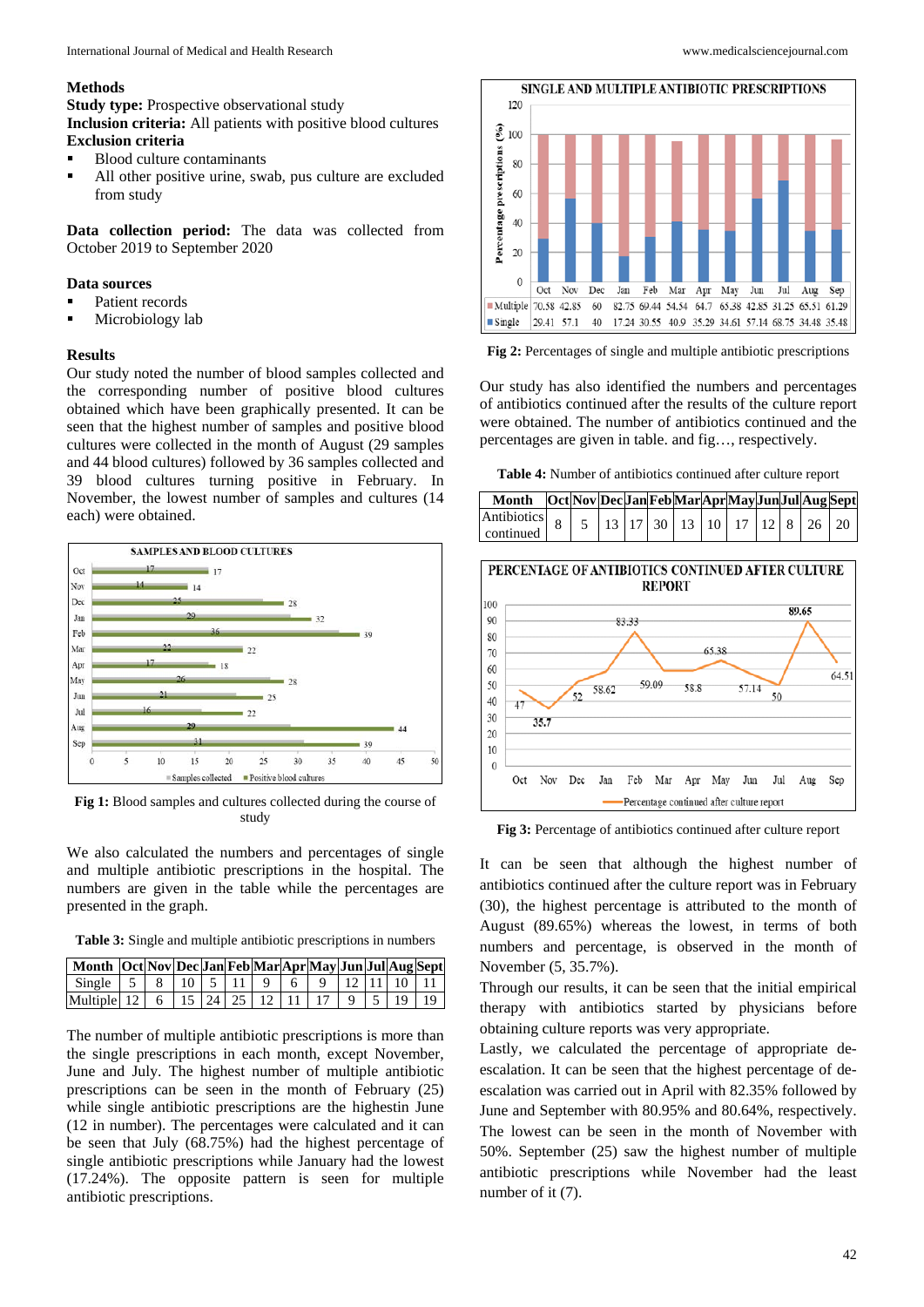#### **Methods**

**Study type:** Prospective observational study **Inclusion criteria:** All patients with positive blood cultures **Exclusion criteria**

- Blood culture contaminants
- All other positive urine, swab, pus culture are excluded from study

**Data collection period:** The data was collected from October 2019 to September 2020

#### **Data sources**

- Patient records
- Microbiology lab

#### **Results**

Our study noted the number of blood samples collected and the corresponding number of positive blood cultures obtained which have been graphically presented. It can be seen that the highest number of samples and positive blood cultures were collected in the month of August (29 samples and 44 blood cultures) followed by 36 samples collected and 39 blood cultures turning positive in February. In November, the lowest number of samples and cultures (14 each) were obtained.



**Fig 1:** Blood samples and cultures collected during the course of study

We also calculated the numbers and percentages of single and multiple antibiotic prescriptions in the hospital. The numbers are given in the table while the percentages are presented in the graph.

**Table 3:** Single and multiple antibiotic prescriptions in numbers

| Month  Oct Nov Dec Jan Feb Mar Apr May Jun Jul Aug Sept          |  |  |  |  |  |  |
|------------------------------------------------------------------|--|--|--|--|--|--|
| Single   5   8   10   5   11   9   6   9   12   11   10   11     |  |  |  |  |  |  |
| Multiple  12   6   15   24   25   12   11   17   9   5   19   19 |  |  |  |  |  |  |

The number of multiple antibiotic prescriptions is more than the single prescriptions in each month, except November, June and July. The highest number of multiple antibiotic prescriptions can be seen in the month of February (25) while single antibiotic prescriptions are the highestin June (12 in number). The percentages were calculated and it can be seen that July (68.75%) had the highest percentage of single antibiotic prescriptions while January had the lowest (17.24%). The opposite pattern is seen for multiple antibiotic prescriptions.



120  $\widehat{\mathcal{E}}$  100

**Fig 2:** Percentages of single and multiple antibiotic prescriptions

Our study has also identified the numbers and percentages of antibiotics continued after the results of the culture report were obtained. The number of antibiotics continued and the percentages are given in table. and fig…, respectively.

**Table 4:** Number of antibiotics continued after culture report

| Month   Oct Nov Dec Jan Feb Mar Apr May Jun Jul Aug Sept             |  |  |  |  |  |  |
|----------------------------------------------------------------------|--|--|--|--|--|--|
| Antibiotics   8   5   13   17   30   13   10   17   12   8   26   20 |  |  |  |  |  |  |
| continued                                                            |  |  |  |  |  |  |



**Fig 3:** Percentage of antibiotics continued after culture report

It can be seen that although the highest number of antibiotics continued after the culture report was in February (30), the highest percentage is attributed to the month of August (89.65%) whereas the lowest, in terms of both numbers and percentage, is observed in the month of November (5, 35.7%).

Through our results, it can be seen that the initial empirical therapy with antibiotics started by physicians before obtaining culture reports was very appropriate.

Lastly, we calculated the percentage of appropriate deescalation. It can be seen that the highest percentage of deescalation was carried out in April with 82.35% followed by June and September with 80.95% and 80.64%, respectively. The lowest can be seen in the month of November with 50%. September (25) saw the highest number of multiple antibiotic prescriptions while November had the least number of it (7).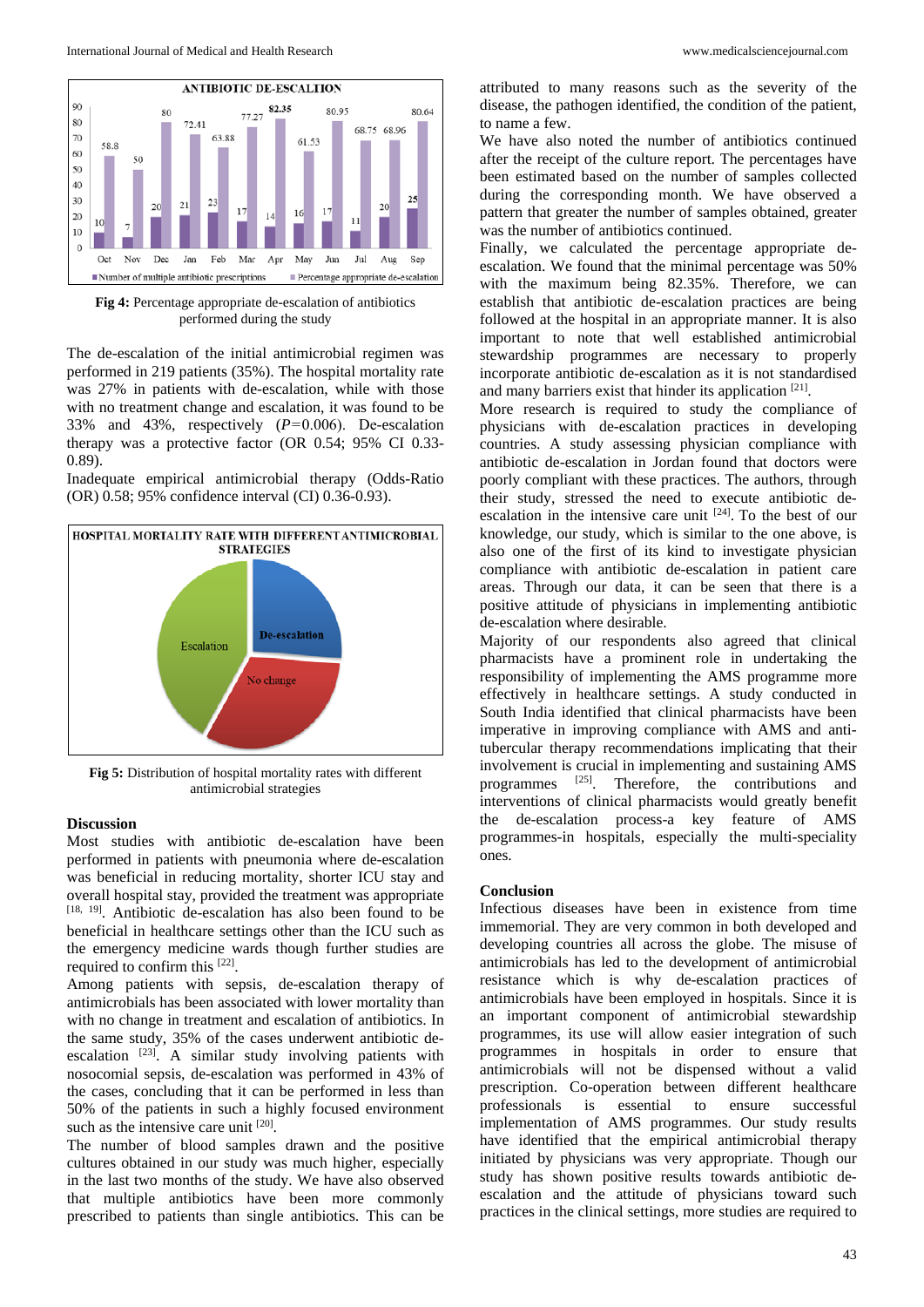

**Fig 4:** Percentage appropriate de-escalation of antibiotics performed during the study

The de-escalation of the initial antimicrobial regimen was performed in 219 patients (35%). The hospital mortality rate was 27% in patients with de-escalation, while with those with no treatment change and escalation, it was found to be 33% and 43%, respectively  $(P=0.006)$ . De-escalation therapy was a protective factor (OR 0.54; 95% CI 0.33- 0.89).

Inadequate empirical antimicrobial therapy (Odds-Ratio (OR) 0.58; 95% confidence interval (CI) 0.36-0.93).



**Fig 5:** Distribution of hospital mortality rates with different antimicrobial strategies

## **Discussion**

Most studies with antibiotic de-escalation have been performed in patients with pneumonia where de-escalation was beneficial in reducing mortality, shorter ICU stay and overall hospital stay, provided the treatment was appropriate [18, 19]. Antibiotic de-escalation has also been found to be beneficial in healthcare settings other than the ICU such as the emergency medicine wards though further studies are required to confirm this [22].

Among patients with sepsis, de-escalation therapy of antimicrobials has been associated with lower mortality than with no change in treatment and escalation of antibiotics. In the same study, 35% of the cases underwent antibiotic deescalation <sup>[23]</sup>. A similar study involving patients with nosocomial sepsis, de-escalation was performed in 43% of the cases, concluding that it can be performed in less than 50% of the patients in such a highly focused environment such as the intensive care unit [20].

The number of blood samples drawn and the positive cultures obtained in our study was much higher, especially in the last two months of the study. We have also observed that multiple antibiotics have been more commonly prescribed to patients than single antibiotics. This can be attributed to many reasons such as the severity of the disease, the pathogen identified, the condition of the patient, to name a few.

We have also noted the number of antibiotics continued after the receipt of the culture report. The percentages have been estimated based on the number of samples collected during the corresponding month. We have observed a pattern that greater the number of samples obtained, greater was the number of antibiotics continued.

Finally, we calculated the percentage appropriate deescalation. We found that the minimal percentage was 50% with the maximum being 82.35%. Therefore, we can establish that antibiotic de-escalation practices are being followed at the hospital in an appropriate manner. It is also important to note that well established antimicrobial stewardship programmes are necessary to properly incorporate antibiotic de-escalation as it is not standardised and many barriers exist that hinder its application [21].

More research is required to study the compliance of physicians with de-escalation practices in developing countries. A study assessing physician compliance with antibiotic de-escalation in Jordan found that doctors were poorly compliant with these practices. The authors, through their study, stressed the need to execute antibiotic deescalation in the intensive care unit [24]. To the best of our knowledge, our study, which is similar to the one above, is also one of the first of its kind to investigate physician compliance with antibiotic de-escalation in patient care areas. Through our data, it can be seen that there is a positive attitude of physicians in implementing antibiotic de-escalation where desirable.

Majority of our respondents also agreed that clinical pharmacists have a prominent role in undertaking the responsibility of implementing the AMS programme more effectively in healthcare settings. A study conducted in South India identified that clinical pharmacists have been imperative in improving compliance with AMS and antitubercular therapy recommendations implicating that their involvement is crucial in implementing and sustaining AMS programmes [25]. Therefore, the contributions and interventions of clinical pharmacists would greatly benefit the de-escalation process-a key feature of AMS programmes-in hospitals, especially the multi-speciality ones.

### **Conclusion**

Infectious diseases have been in existence from time immemorial. They are very common in both developed and developing countries all across the globe. The misuse of antimicrobials has led to the development of antimicrobial resistance which is why de-escalation practices of antimicrobials have been employed in hospitals. Since it is an important component of antimicrobial stewardship programmes, its use will allow easier integration of such programmes in hospitals in order to ensure that antimicrobials will not be dispensed without a valid prescription. Co-operation between different healthcare professionals is essential to ensure successful implementation of AMS programmes. Our study results have identified that the empirical antimicrobial therapy initiated by physicians was very appropriate. Though our study has shown positive results towards antibiotic deescalation and the attitude of physicians toward such practices in the clinical settings, more studies are required to